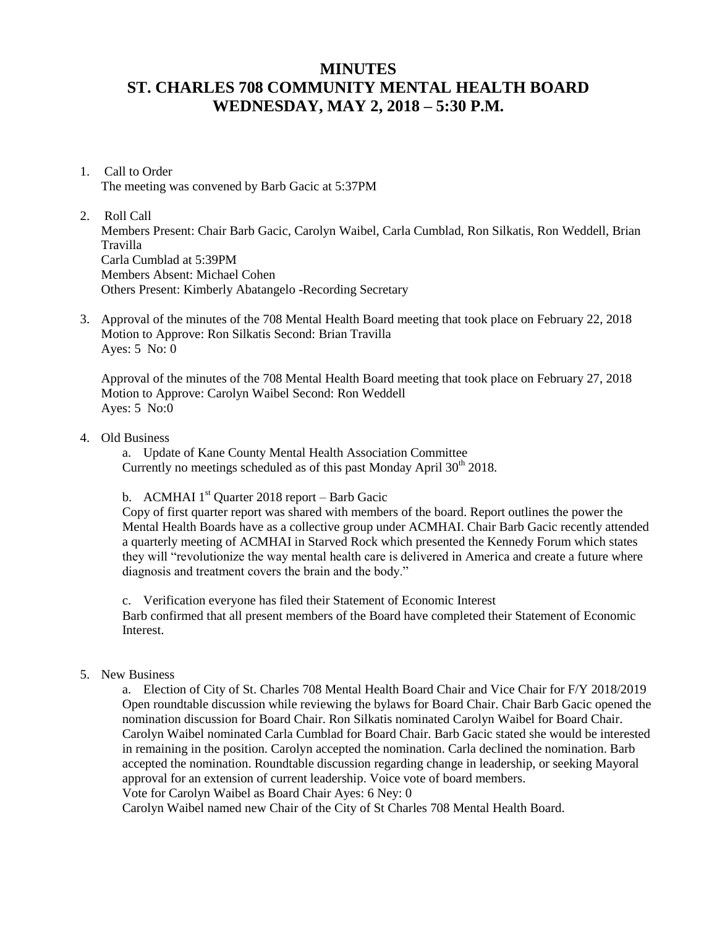## **MINUTES ST. CHARLES 708 COMMUNITY MENTAL HEALTH BOARD WEDNESDAY, MAY 2, 2018 – 5:30 P.M.**

1. Call to Order

The meeting was convened by Barb Gacic at 5:37PM

2. Roll Call

Members Present: Chair Barb Gacic, Carolyn Waibel, Carla Cumblad, Ron Silkatis, Ron Weddell, Brian Travilla Carla Cumblad at 5:39PM Members Absent: Michael Cohen Others Present: Kimberly Abatangelo -Recording Secretary

3. Approval of the minutes of the 708 Mental Health Board meeting that took place on February 22, 2018 Motion to Approve: Ron Silkatis Second: Brian Travilla Ayes: 5 No: 0

Approval of the minutes of the 708 Mental Health Board meeting that took place on February 27, 2018 Motion to Approve: Carolyn Waibel Second: Ron Weddell Ayes: 5 No:0

4. Old Business

a. Update of Kane County Mental Health Association Committee Currently no meetings scheduled as of this past Monday April  $30<sup>th</sup> 2018$ .

b. ACMHAI  $1<sup>st</sup>$  Quarter 2018 report – Barb Gacic

Copy of first quarter report was shared with members of the board. Report outlines the power the Mental Health Boards have as a collective group under ACMHAI. Chair Barb Gacic recently attended a quarterly meeting of ACMHAI in Starved Rock which presented the Kennedy Forum which states they will "revolutionize the way mental health care is delivered in America and create a future where diagnosis and treatment covers the brain and the body."

c. Verification everyone has filed their Statement of Economic Interest Barb confirmed that all present members of the Board have completed their Statement of Economic Interest.

5. New Business

a. Election of City of St. Charles 708 Mental Health Board Chair and Vice Chair for F/Y 2018/2019 Open roundtable discussion while reviewing the bylaws for Board Chair. Chair Barb Gacic opened the nomination discussion for Board Chair. Ron Silkatis nominated Carolyn Waibel for Board Chair. Carolyn Waibel nominated Carla Cumblad for Board Chair. Barb Gacic stated she would be interested in remaining in the position. Carolyn accepted the nomination. Carla declined the nomination. Barb accepted the nomination. Roundtable discussion regarding change in leadership, or seeking Mayoral approval for an extension of current leadership. Voice vote of board members.

Vote for Carolyn Waibel as Board Chair Ayes: 6 Ney: 0

Carolyn Waibel named new Chair of the City of St Charles 708 Mental Health Board.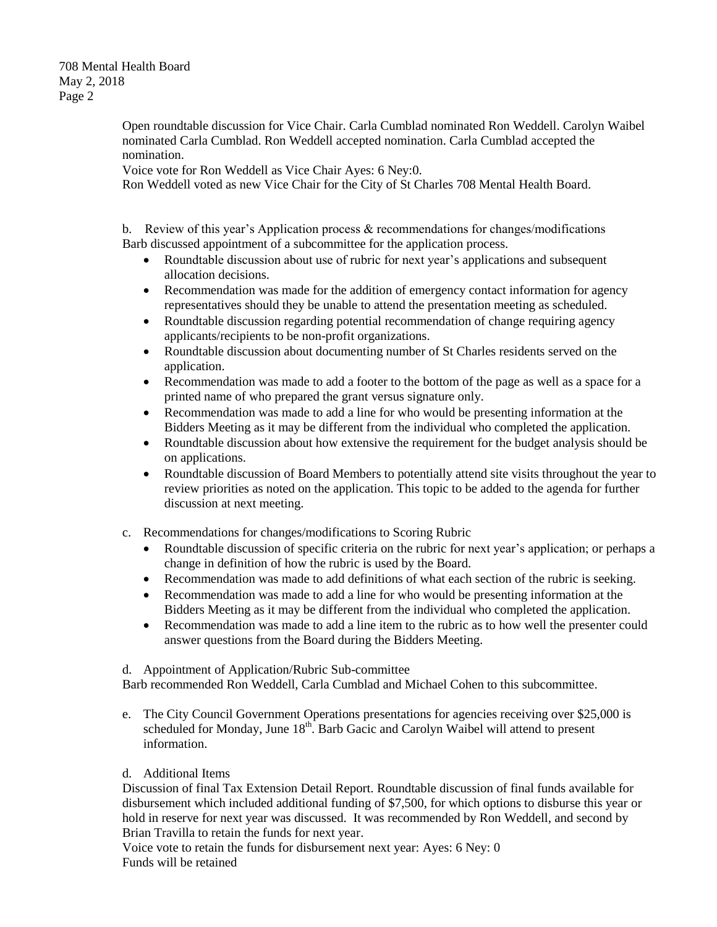708 Mental Health Board May 2, 2018 Page 2

> Open roundtable discussion for Vice Chair. Carla Cumblad nominated Ron Weddell. Carolyn Waibel nominated Carla Cumblad. Ron Weddell accepted nomination. Carla Cumblad accepted the nomination.

Voice vote for Ron Weddell as Vice Chair Ayes: 6 Ney:0.

Ron Weddell voted as new Vice Chair for the City of St Charles 708 Mental Health Board.

b. Review of this year's Application process  $\⊂>$  recommendations for changes/modifications Barb discussed appointment of a subcommittee for the application process.

- Roundtable discussion about use of rubric for next year's applications and subsequent allocation decisions.
- Recommendation was made for the addition of emergency contact information for agency representatives should they be unable to attend the presentation meeting as scheduled.
- Roundtable discussion regarding potential recommendation of change requiring agency applicants/recipients to be non-profit organizations.
- Roundtable discussion about documenting number of St Charles residents served on the application.
- Recommendation was made to add a footer to the bottom of the page as well as a space for a printed name of who prepared the grant versus signature only.
- Recommendation was made to add a line for who would be presenting information at the Bidders Meeting as it may be different from the individual who completed the application.
- Roundtable discussion about how extensive the requirement for the budget analysis should be on applications.
- Roundtable discussion of Board Members to potentially attend site visits throughout the year to review priorities as noted on the application. This topic to be added to the agenda for further discussion at next meeting.
- c. Recommendations for changes/modifications to Scoring Rubric
	- Roundtable discussion of specific criteria on the rubric for next year's application; or perhaps a change in definition of how the rubric is used by the Board.
	- Recommendation was made to add definitions of what each section of the rubric is seeking.
	- Recommendation was made to add a line for who would be presenting information at the Bidders Meeting as it may be different from the individual who completed the application.
	- Recommendation was made to add a line item to the rubric as to how well the presenter could answer questions from the Board during the Bidders Meeting.
- d. Appointment of Application/Rubric Sub-committee

Barb recommended Ron Weddell, Carla Cumblad and Michael Cohen to this subcommittee.

- e. The City Council Government Operations presentations for agencies receiving over \$25,000 is scheduled for Monday, June  $18<sup>th</sup>$ . Barb Gacic and Carolyn Waibel will attend to present information.
- d. Additional Items

Discussion of final Tax Extension Detail Report. Roundtable discussion of final funds available for disbursement which included additional funding of \$7,500, for which options to disburse this year or hold in reserve for next year was discussed. It was recommended by Ron Weddell, and second by Brian Travilla to retain the funds for next year.

Voice vote to retain the funds for disbursement next year: Ayes: 6 Ney: 0 Funds will be retained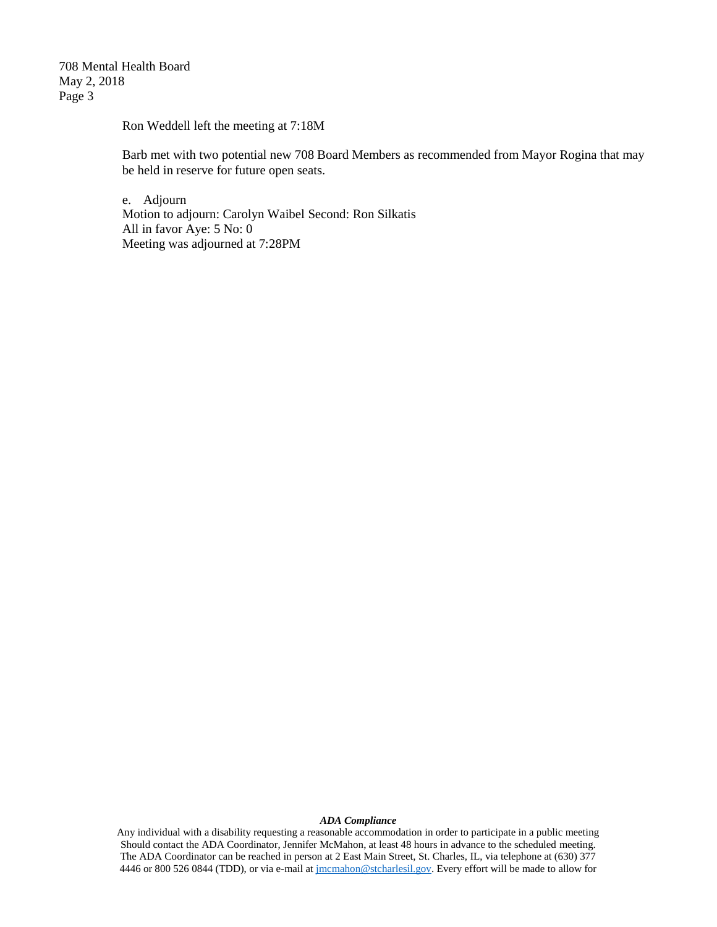708 Mental Health Board May 2, 2018 Page 3

Ron Weddell left the meeting at 7:18M

Barb met with two potential new 708 Board Members as recommended from Mayor Rogina that may be held in reserve for future open seats.

e. Adjourn Motion to adjourn: Carolyn Waibel Second: Ron Silkatis All in favor Aye: 5 No: 0 Meeting was adjourned at 7:28PM

## *ADA Compliance*

Any individual with a disability requesting a reasonable accommodation in order to participate in a public meeting Should contact the ADA Coordinator, Jennifer McMahon, at least 48 hours in advance to the scheduled meeting. The ADA Coordinator can be reached in person at 2 East Main Street, St. Charles, IL, via telephone at (630) 377 4446 or 800 526 0844 (TDD), or via e-mail at [jmcmahon@stcharlesil.gov.](mailto:jmcmahon@stcharlesil.gov) Every effort will be made to allow for